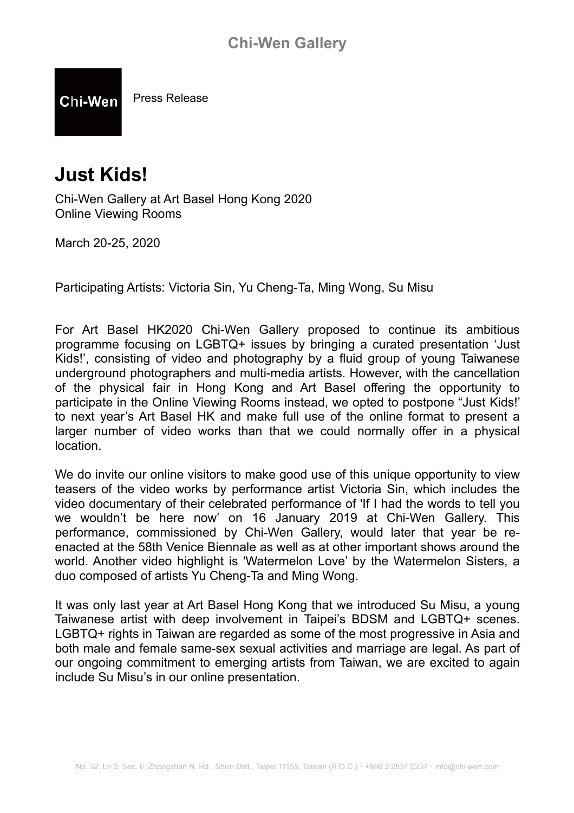Press Release Chi-Wen

# **Just Kids!**

Chi-Wen Gallery at Art Basel Hong Kong 2020 Online Viewing Rooms

March 20-25, 2020

Participating Artists: Victoria Sin, Yu Cheng-Ta, Ming Wong, Su Misu

For Art Basel HK2020 Chi-Wen Gallery proposed to continue its ambitious programme focusing on LGBTQ+ issues by bringing a curated presentation 'Just Kids!', consisting of video and photography by a fluid group of young Taiwanese underground photographers and multi-media artists. However, with the cancellation of the physical fair in Hong Kong and Art Basel offering the opportunity to participate in the Online Viewing Rooms instead, we opted to postpone "Just Kids!' to next year's Art Basel HK and make full use of the online format to present a larger number of video works than that we could normally offer in a physical location.

We do invite our online visitors to make good use of this unique opportunity to view teasers of the video works by performance artist Victoria Sin, which includes the video documentary of their celebrated performance of 'If I had the words to tell you we wouldn't be here now' on 16 January 2019 at Chi-Wen Gallery. This performance, commissioned by Chi-Wen Gallery, would later that year be reenacted at the 58th Venice Biennale as well as at other important shows around the world. Another video highlight is 'Watermelon Love' by the Watermelon Sisters, a duo composed of artists Yu Cheng-Ta and Ming Wong.

It was only last year at Art Basel Hong Kong that we introduced Su Misu, a young Taiwanese artist with deep involvement in Taipei's BDSM and LGBTQ+ scenes. LGBTQ+ rights in Taiwan are regarded as some of the most progressive in Asia and both male and female same-sex sexual activities and marriage are legal. As part of our ongoing commitment to emerging artists from Taiwan, we are excited to again include Su Misu's in our online presentation.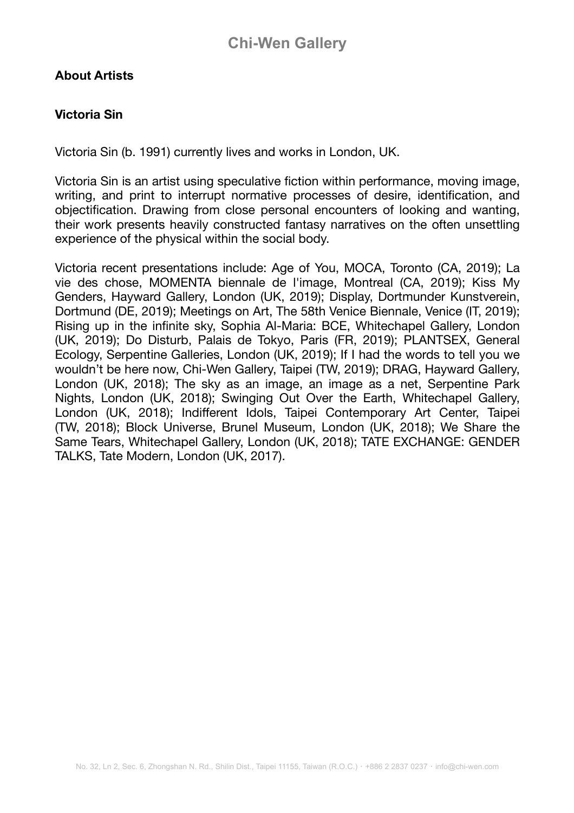# **About Artists**

# **Victoria Sin**

Victoria Sin (b. 1991) currently lives and works in London, UK.

Victoria Sin is an artist using speculative fiction within performance, moving image, writing, and print to interrupt normative processes of desire, identification, and objectification. Drawing from close personal encounters of looking and wanting, their work presents heavily constructed fantasy narratives on the often unsettling experience of the physical within the social body.

Victoria recent presentations include: Age of You, MOCA, Toronto (CA, 2019); La vie des chose, MOMENTA biennale de l'image, Montreal (CA, 2019); Kiss My Genders, Hayward Gallery, London (UK, 2019); Display, Dortmunder Kunstverein, Dortmund (DE, 2019); Meetings on Art, The 58th Venice Biennale, Venice (IT, 2019); Rising up in the infinite sky, Sophia Al-Maria: BCE, Whitechapel Gallery, London (UK, 2019); Do Disturb, Palais de Tokyo, Paris (FR, 2019); PLANTSEX, General Ecology, Serpentine Galleries, London (UK, 2019); If I had the words to tell you we wouldn't be here now, Chi-Wen Gallery, Taipei (TW, 2019); DRAG, Hayward Gallery, London (UK, 2018); The sky as an image, an image as a net, Serpentine Park Nights, London (UK, 2018); Swinging Out Over the Earth, Whitechapel Gallery, London (UK, 2018); Indifferent Idols, Taipei Contemporary Art Center, Taipei (TW, 2018); Block Universe, Brunel Museum, London (UK, 2018); We Share the Same Tears, Whitechapel Gallery, London (UK, 2018); TATE EXCHANGE: GENDER TALKS, Tate Modern, London (UK, 2017).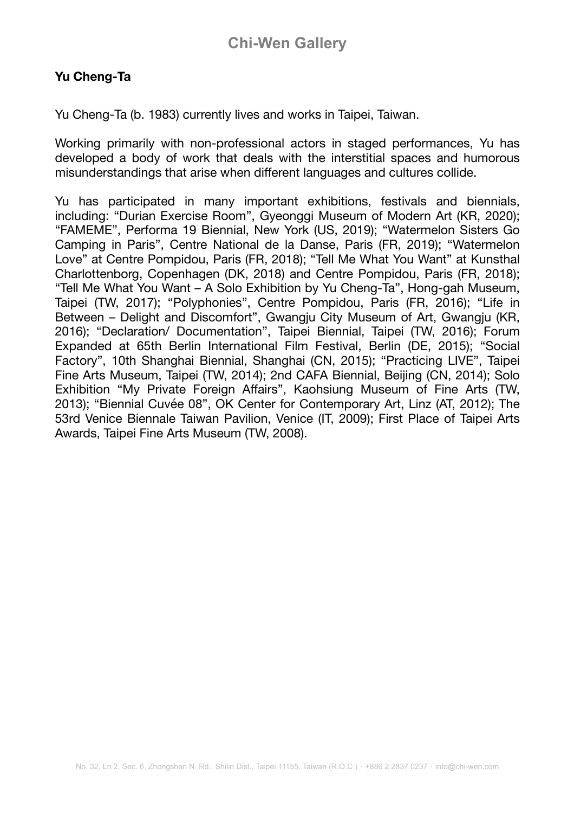# **Yu Cheng-Ta**

Yu Cheng-Ta (b. 1983) currently lives and works in Taipei, Taiwan.

Working primarily with non-professional actors in staged performances, Yu has developed a body of work that deals with the interstitial spaces and humorous misunderstandings that arise when different languages and cultures collide.

Yu has participated in many important exhibitions, festivals and biennials, including: "Durian Exercise Room", Gyeonggi Museum of Modern Art (KR, 2020); "FAMEME", Performa 19 Biennial, New York (US, 2019); "Watermelon Sisters Go Camping in Paris", Centre National de la Danse, Paris (FR, 2019); "Watermelon Love" at Centre Pompidou, Paris (FR, 2018); "Tell Me What You Want" at Kunsthal Charlottenborg, Copenhagen (DK, 2018) and Centre Pompidou, Paris (FR, 2018); "Tell Me What You Want – A Solo Exhibition by Yu Cheng-Ta", Hong-gah Museum, Taipei (TW, 2017); "Polyphonies", Centre Pompidou, Paris (FR, 2016); "Life in Between – Delight and Discomfort", Gwangju City Museum of Art, Gwangju (KR, 2016); "Declaration/ Documentation", Taipei Biennial, Taipei (TW, 2016); Forum Expanded at 65th Berlin International Film Festival, Berlin (DE, 2015); "Social Factory", 10th Shanghai Biennial, Shanghai (CN, 2015); "Practicing LIVE", Taipei Fine Arts Museum, Taipei (TW, 2014); 2nd CAFA Biennial, Beijing (CN, 2014); Solo Exhibition "My Private Foreign Affairs", Kaohsiung Museum of Fine Arts (TW, 2013); "Biennial Cuvée 08", OK Center for Contemporary Art, Linz (AT, 2012); The 53rd Venice Biennale Taiwan Pavilion, Venice (IT, 2009); First Place of Taipei Arts Awards, Taipei Fine Arts Museum (TW, 2008).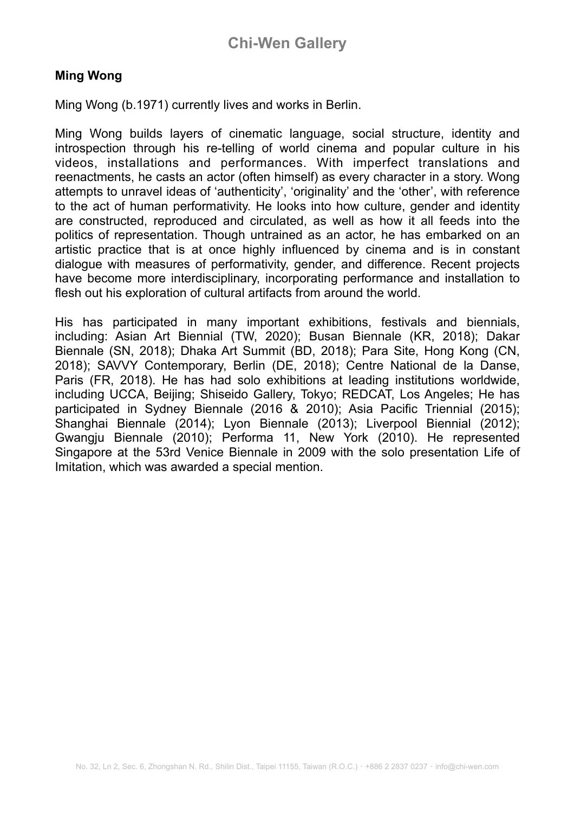# **Ming Wong**

Ming Wong (b.1971) currently lives and works in Berlin.

Ming Wong builds layers of cinematic language, social structure, identity and introspection through his re-telling of world cinema and popular culture in his videos, installations and performances. With imperfect translations and reenactments, he casts an actor (often himself) as every character in a story. Wong attempts to unravel ideas of 'authenticity', 'originality' and the 'other', with reference to the act of human performativity. He looks into how culture, gender and identity are constructed, reproduced and circulated, as well as how it all feeds into the politics of representation. Though untrained as an actor, he has embarked on an artistic practice that is at once highly influenced by cinema and is in constant dialogue with measures of performativity, gender, and difference. Recent projects have become more interdisciplinary, incorporating performance and installation to flesh out his exploration of cultural artifacts from around the world.

His has participated in many important exhibitions, festivals and biennials, including: Asian Art Biennial (TW, 2020); Busan Biennale (KR, 2018); Dakar Biennale (SN, 2018); Dhaka Art Summit (BD, 2018); Para Site, Hong Kong (CN, 2018); SAVVY Contemporary, Berlin (DE, 2018); Centre National de la Danse, Paris (FR, 2018). He has had solo exhibitions at leading institutions worldwide, including UCCA, Beijing; Shiseido Gallery, Tokyo; REDCAT, Los Angeles; He has participated in Sydney Biennale (2016 & 2010); Asia Pacific Triennial (2015); Shanghai Biennale (2014); Lyon Biennale (2013); Liverpool Biennial (2012); Gwangju Biennale (2010); Performa 11, New York (2010). He represented Singapore at the 53rd Venice Biennale in 2009 with the solo presentation Life of Imitation, which was awarded a special mention.